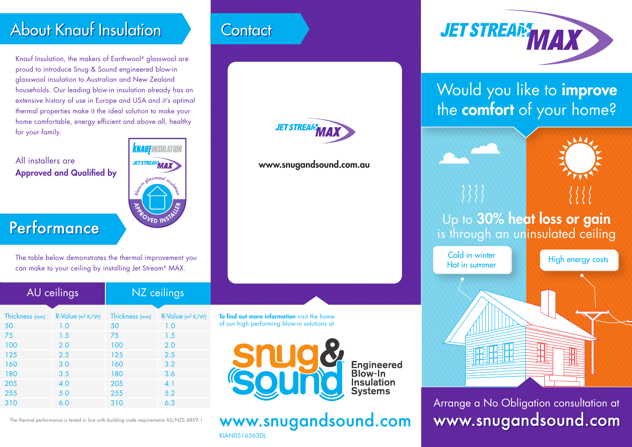## **About Knauf Insulation**

Knauf Insulation, the makers of Earthwool® glasswool are proud to introduce Snug & Sound engineered blow-in glasswool insulation to Australian and New Zealand households. Our leading blow-in insulation already has an extensive history of use in Europe and USA and it's optimal thermal properties make it the ideal solution to make your home comfortable, energy efficient and above all, healthy for your family.

All installers are **Approved and Qualified by** 



Performance

The table below demonstrates the thermal improvement you can make to your ceiling by installing Jet Stream® MAX.

| AU ceilings    |                              | NZ ceilings    |                              |
|----------------|------------------------------|----------------|------------------------------|
| Thickness (mm) | R-Value (m <sup>2</sup> K/W) | Thickness (mm) | R-Value (m <sup>2</sup> K/W) |
| 50             | 1.0                          | 50             | 1.0                          |
| 75             | 1.5                          | 75             | 1.5                          |
| 100            | 2.0                          | 100            | 2.0                          |
| 125            | 2.5                          | 125            | 2.5                          |
| 160            | 3.0                          | 160            | 3.2                          |
| 180            | 3.5                          | 180            | 3.6                          |
| 205            | 4.0                          | 205            | 4.1                          |
| 255            | 5.0                          | 255            | 5.2                          |
| 310            | 6.0                          | 310            | 6.3                          |
|                |                              |                |                              |

The thermal performance is tested in line with building code requirements AS/NZS 4859.1

## **Contact**





To find out more information visit the home of our high performing blow-in solutions at

> Engineered<br>Blow-In Insulation **Systems**

www.snugandsound.com KIAN0516363DL



## Would you like to *improve* the **comfort** of your home?



Arrange a No Obligation consultation at www.snugandsound.com